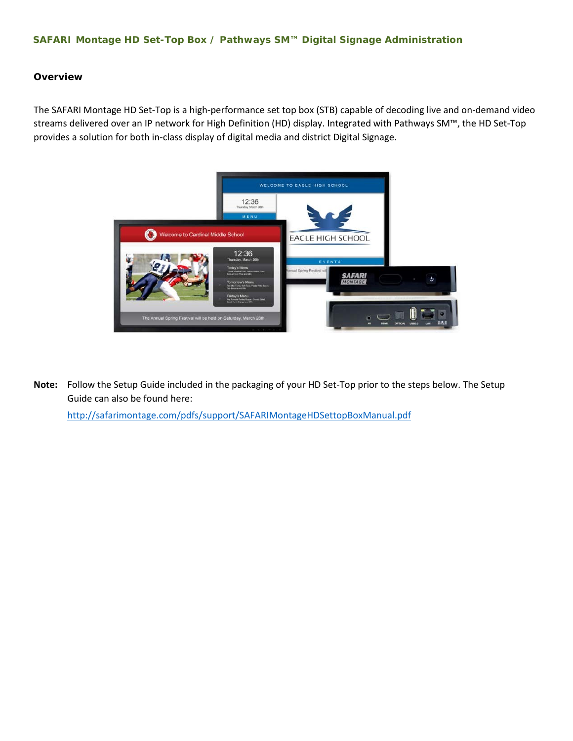## **SAFARI Montage HD Set-Top Box / Pathways SM™ Digital Signage Administration**

## **Overview**

The SAFARI Montage HD Set-Top is a high-performance set top box (STB) capable of decoding live and on-demand video streams delivered over an IP network for High Definition (HD) display. Integrated with Pathways SM™, the HD Set-Top provides a solution for both in-class display of digital media and district Digital Signage.



**Note:** Follow the Setup Guide included in the packaging of your HD Set-Top prior to the steps below. The Setup Guide can also be found here:

<http://safarimontage.com/pdfs/support/SAFARIMontageHDSettopBoxManual.pdf>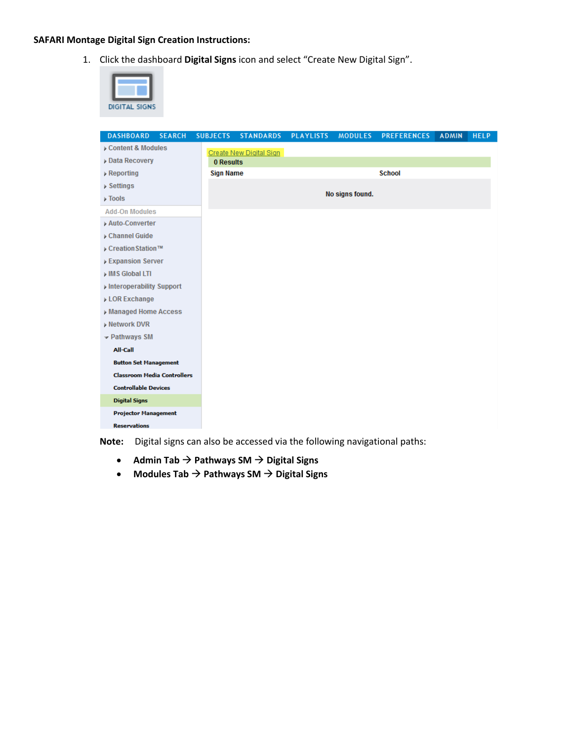## **SAFARI Montage Digital Sign Creation Instructions:**

1. Click the dashboard **Digital Signs** icon and select "Create New Digital Sign".



| <b>DASHBOARD</b>                   | <b>SEARCH</b> | <b>SUBJECTS</b>  | <b>STANDARDS</b>        | <b>PLAYLISTS</b> | <b>MODULES</b>  | <b>PREFERENCES</b> | <b>ADMIN</b> | <b>HELP</b> |
|------------------------------------|---------------|------------------|-------------------------|------------------|-----------------|--------------------|--------------|-------------|
| Content & Modules                  |               |                  | Create New Digital Sign |                  |                 |                    |              |             |
| <b>Data Recovery</b>               |               | 0 Results        |                         |                  |                 |                    |              |             |
| $\triangleright$ Reporting         |               | <b>Sign Name</b> |                         |                  |                 | <b>School</b>      |              |             |
| Settings                           |               |                  |                         |                  |                 |                    |              |             |
| $\triangleright$ Tools             |               |                  |                         |                  | No signs found. |                    |              |             |
| <b>Add-On Modules</b>              |               |                  |                         |                  |                 |                    |              |             |
| Auto-Converter                     |               |                  |                         |                  |                 |                    |              |             |
| Channel Guide                      |               |                  |                         |                  |                 |                    |              |             |
| Creation Station™                  |               |                  |                         |                  |                 |                    |              |             |
| <b>Expansion Server</b>            |               |                  |                         |                  |                 |                    |              |             |
| IMS Global LTI                     |               |                  |                         |                  |                 |                    |              |             |
| Interoperability Support           |               |                  |                         |                  |                 |                    |              |             |
| <b>LOR Exchange</b>                |               |                  |                         |                  |                 |                    |              |             |
| Managed Home Access                |               |                  |                         |                  |                 |                    |              |             |
| <b>Network DVR</b>                 |               |                  |                         |                  |                 |                    |              |             |
| $\sim$ Pathways SM                 |               |                  |                         |                  |                 |                    |              |             |
| All-Call                           |               |                  |                         |                  |                 |                    |              |             |
| <b>Button Set Management</b>       |               |                  |                         |                  |                 |                    |              |             |
| <b>Classroom Media Controllers</b> |               |                  |                         |                  |                 |                    |              |             |
| <b>Controllable Devices</b>        |               |                  |                         |                  |                 |                    |              |             |
| <b>Digital Signs</b>               |               |                  |                         |                  |                 |                    |              |             |
| <b>Projector Management</b>        |               |                  |                         |                  |                 |                    |              |             |
| <b>Reservations</b>                |               |                  |                         |                  |                 |                    |              |             |

**Note:** Digital signs can also be accessed via the following navigational paths:

- Admin Tab  $\rightarrow$  Pathways SM  $\rightarrow$  Digital Signs
- Modules Tab  $\rightarrow$  Pathways SM  $\rightarrow$  Digital Signs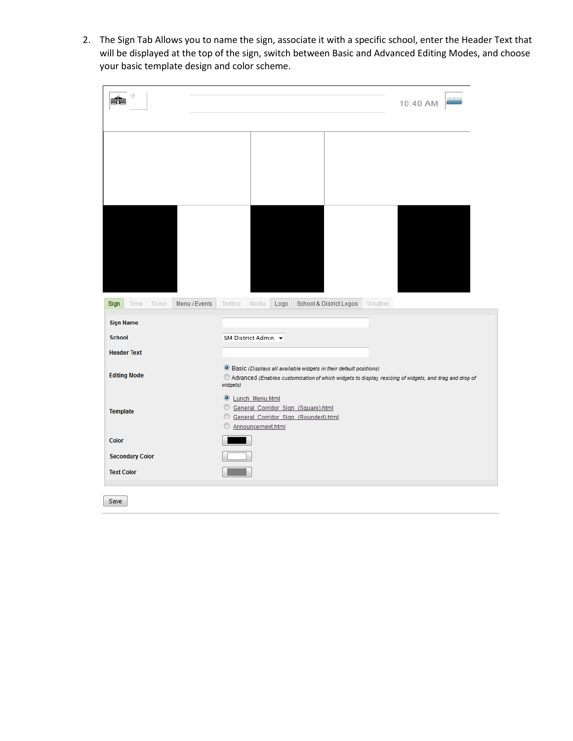2. The Sign Tab Allows you to name the sign, associate it with a specific school, enter the Header Text that will be displayed at the top of the sign, switch between Basic and Advanced Editing Modes, and choose your basic template design and color scheme.

| 2                                                                                                                       | 59125131<br>10:40 AM                                                                                                                                                                                              |
|-------------------------------------------------------------------------------------------------------------------------|-------------------------------------------------------------------------------------------------------------------------------------------------------------------------------------------------------------------|
|                                                                                                                         |                                                                                                                                                                                                                   |
|                                                                                                                         |                                                                                                                                                                                                                   |
|                                                                                                                         |                                                                                                                                                                                                                   |
|                                                                                                                         |                                                                                                                                                                                                                   |
|                                                                                                                         |                                                                                                                                                                                                                   |
|                                                                                                                         |                                                                                                                                                                                                                   |
|                                                                                                                         |                                                                                                                                                                                                                   |
|                                                                                                                         |                                                                                                                                                                                                                   |
|                                                                                                                         |                                                                                                                                                                                                                   |
| Menu / Events<br>Ticker<br>Sign<br>Time                                                                                 | Media<br>School & District Logos<br>Weather<br>Textbox<br>Logo                                                                                                                                                    |
| <b>Sign Name</b>                                                                                                        |                                                                                                                                                                                                                   |
|                                                                                                                         |                                                                                                                                                                                                                   |
|                                                                                                                         | SM District Admin +                                                                                                                                                                                               |
|                                                                                                                         |                                                                                                                                                                                                                   |
|                                                                                                                         | <sup>O</sup> Basic (Displays all available widgets in their default positions)<br>$\mathcal O$ Advanced (Enables customization of which widgets to display, resizing of widgets, and drag and drop of<br>widgets) |
|                                                                                                                         | <b>Eunch Menu.html</b>                                                                                                                                                                                            |
|                                                                                                                         | C General Corridor Sign (Square).html                                                                                                                                                                             |
|                                                                                                                         | C General Corridor Sign (Rounded).html<br>Announcement.html                                                                                                                                                       |
|                                                                                                                         |                                                                                                                                                                                                                   |
| <b>School</b><br><b>Header Text</b><br><b>Editing Mode</b><br><b>Template</b><br><b>Color</b><br><b>Secondary Color</b> |                                                                                                                                                                                                                   |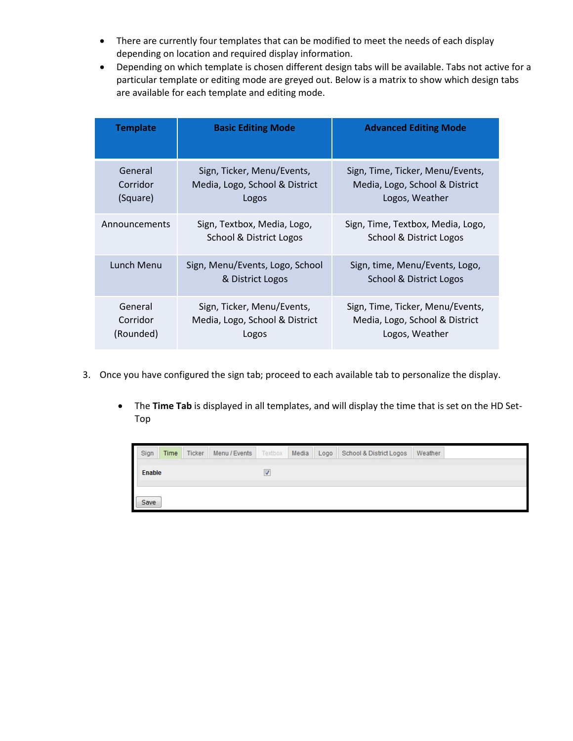- There are currently four templates that can be modified to meet the needs of each display depending on location and required display information.
- Depending on which template is chosen different design tabs will be available. Tabs not active for a particular template or editing mode are greyed out. Below is a matrix to show which design tabs are available for each template and editing mode.

| <b>Template</b>                  | <b>Basic Editing Mode</b>                                             | <b>Advanced Editing Mode</b>                                                         |
|----------------------------------|-----------------------------------------------------------------------|--------------------------------------------------------------------------------------|
| General<br>Corridor<br>(Square)  | Sign, Ticker, Menu/Events,<br>Media, Logo, School & District<br>Logos | Sign, Time, Ticker, Menu/Events,<br>Media, Logo, School & District<br>Logos, Weather |
| Announcements                    | Sign, Textbox, Media, Logo,<br>School & District Logos                | Sign, Time, Textbox, Media, Logo,<br>School & District Logos                         |
| Lunch Menu                       | Sign, Menu/Events, Logo, School<br>& District Logos                   | Sign, time, Menu/Events, Logo,<br>School & District Logos                            |
| General<br>Corridor<br>(Rounded) | Sign, Ticker, Menu/Events,<br>Media, Logo, School & District<br>Logos | Sign, Time, Ticker, Menu/Events,<br>Media, Logo, School & District<br>Logos, Weather |

- 3. Once you have configured the sign tab; proceed to each available tab to personalize the display.
	- The **Time Tab** is displayed in all templates, and will display the time that is set on the HD Set-Top

| Sign   | Time |  |   |  | Ticker Menu / Events Textbox Media Logo School & District Logos Weather |  |
|--------|------|--|---|--|-------------------------------------------------------------------------|--|
| Enable |      |  | ⊽ |  |                                                                         |  |
|        |      |  |   |  |                                                                         |  |
| Save   |      |  |   |  |                                                                         |  |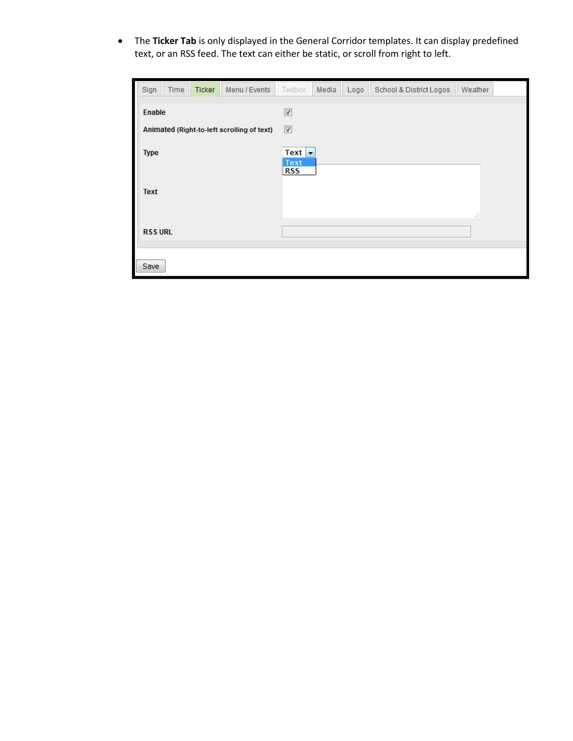• The **Ticker Tab** is only displayed in the General Corridor templates. It can display predefined text, or an RSS feed. The text can either be static, or scroll from right to left.

| Sign                                                        | Time | Ticker | Menu / Events | Textbox                                      | Media | Logo | School & District Logos | Weather       |  |  |  |  |
|-------------------------------------------------------------|------|--------|---------------|----------------------------------------------|-------|------|-------------------------|---------------|--|--|--|--|
| <b>Enable</b><br>Animated (Right-to-left scrolling of text) |      |        |               | $\overline{\mathcal{J}}$<br>$\boldsymbol{J}$ |       |      |                         |               |  |  |  |  |
| <b>Type</b>                                                 |      |        |               | Text $\vert \cdot \vert$<br>Text             |       |      |                         |               |  |  |  |  |
| <b>Text</b>                                                 |      |        |               | <b>RSS</b>                                   |       |      |                         | $\frac{1}{2}$ |  |  |  |  |
| <b>RSS URL</b>                                              |      |        |               |                                              |       |      |                         |               |  |  |  |  |
| Save                                                        |      |        |               |                                              |       |      |                         |               |  |  |  |  |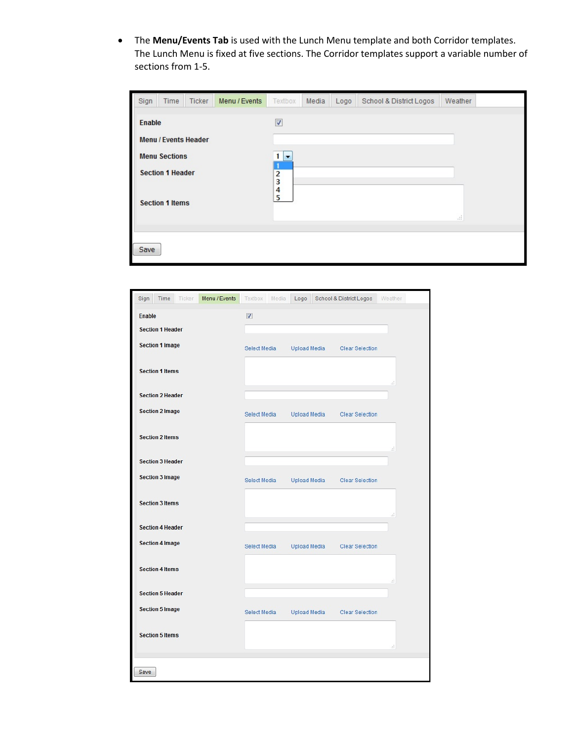• The **Menu/Events Tab** is used with the Lunch Menu template and both Corridor templates. The Lunch Menu is fixed at five sections. The Corridor templates support a variable number of sections from 1-5.

| Sign          | Time                                                                                                     | Ticker | Menu / Events | Textbox                                          | Media | Logo | School & District Logos | Weather          |  |
|---------------|----------------------------------------------------------------------------------------------------------|--------|---------------|--------------------------------------------------|-------|------|-------------------------|------------------|--|
| <b>Enable</b> | <b>Menu / Events Header</b><br><b>Menu Sections</b><br><b>Section 1 Header</b><br><b>Section 1 Items</b> |        |               | $\sqrt{2}$<br>▼<br>$\overline{2}$<br>3<br>4<br>5 |       |      |                         | $\pm\frac{1}{2}$ |  |
| Save          |                                                                                                          |        |               |                                                  |       |      |                         |                  |  |

| Menu / Events<br>Sign<br>Time<br>Ticker | School & District Logos<br>Textbox Media<br>Logo<br>Weather   |
|-----------------------------------------|---------------------------------------------------------------|
| Enable                                  | Ø                                                             |
| <b>Section 1 Header</b>                 |                                                               |
| <b>Section 1 Image</b>                  | Select Media<br>Upload Media<br><b>Clear Selection</b>        |
| <b>Section 1 Items</b>                  | Æ                                                             |
| <b>Section 2 Header</b>                 |                                                               |
| <b>Section 2 Image</b>                  | Upload Media<br>Select Media<br><b>Clear Selection</b>        |
| <b>Section 2 Items</b>                  | đ                                                             |
| <b>Section 3 Header</b>                 |                                                               |
| <b>Section 3 Image</b>                  | <b>Upload Media</b><br>Select Media<br><b>Clear Selection</b> |
| <b>Section 3 Items</b>                  | лÍ.                                                           |
| <b>Section 4 Header</b>                 |                                                               |
| <b>Section 4 Image</b>                  | Select Media<br>Upload Media<br>Clear Selection               |
| <b>Section 4 Items</b>                  | zi.                                                           |
| <b>Section 5 Header</b>                 |                                                               |
| <b>Section 5 Image</b>                  | Upload Media<br>Select Media<br><b>Clear Selection</b>        |
| <b>Section 5 Items</b>                  |                                                               |
|                                         | ă                                                             |
| Save                                    |                                                               |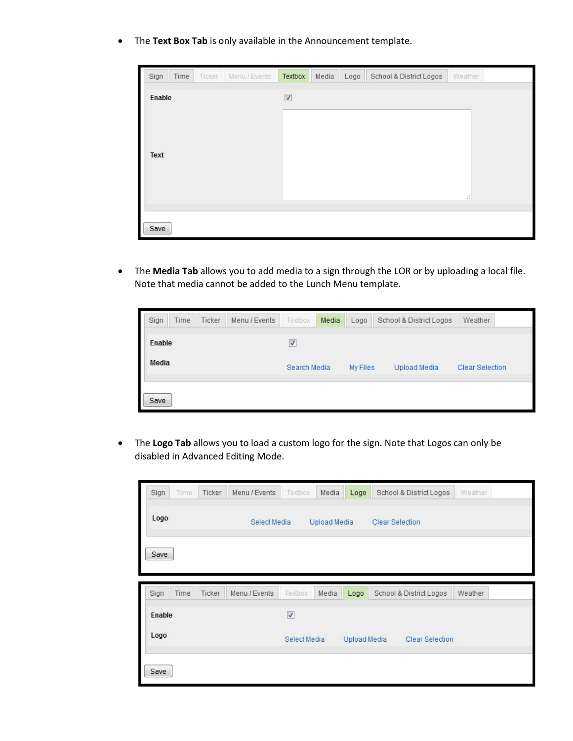• The **Text Box Tab** is only available in the Announcement template.

| Sign        | Time | Ticker | Menu / Events | Textbox                 | Media | Logo | School & District Logos | Weather             |
|-------------|------|--------|---------------|-------------------------|-------|------|-------------------------|---------------------|
| Enable      |      |        |               | $\overline{\mathbf{v}}$ |       |      |                         |                     |
| <b>Text</b> |      |        |               |                         |       |      |                         | $\hat{\mathcal{M}}$ |
| Save        |      |        |               |                         |       |      |                         |                     |

• The **Media Tab** allows you to add media to a sign through the LOR or by uploading a local file. Note that media cannot be added to the Lunch Menu template.

| Sign         | <b>Time</b> | <b>Ticker</b> | Menu / Events | Textbox                 | Media    | Logo         | School & District Logos | Weather |  |
|--------------|-------------|---------------|---------------|-------------------------|----------|--------------|-------------------------|---------|--|
| Enable       |             |               |               | $\overline{\mathsf{v}}$ |          |              |                         |         |  |
| <b>Media</b> |             |               | Search Media  |                         | My Files | Upload Media | Clear Selection         |         |  |
| Save         |             |               |               |                         |          |              |                         |         |  |

• The **Logo Tab** allows you to load a custom logo for the sign. Note that Logos can only be disabled in Advanced Editing Mode.

| Time<br>Ticker<br>Menu / Events<br>Sign        | Textbox<br>Media<br>Logo     | School & District Logos | Weather |
|------------------------------------------------|------------------------------|-------------------------|---------|
| Logo<br>Select Media                           | Upload Media                 | <b>Clear Selection</b>  |         |
| Save                                           |                              |                         |         |
|                                                |                              |                         |         |
| Sign<br><b>Ticker</b><br>Time<br>Menu / Events | Textbox<br>Media<br>Logo     | School & District Logos | Weather |
| <b>Enable</b>                                  | $\overline{v}$               |                         |         |
| Logo                                           | Select Media<br>Upload Media | Clear Selection         |         |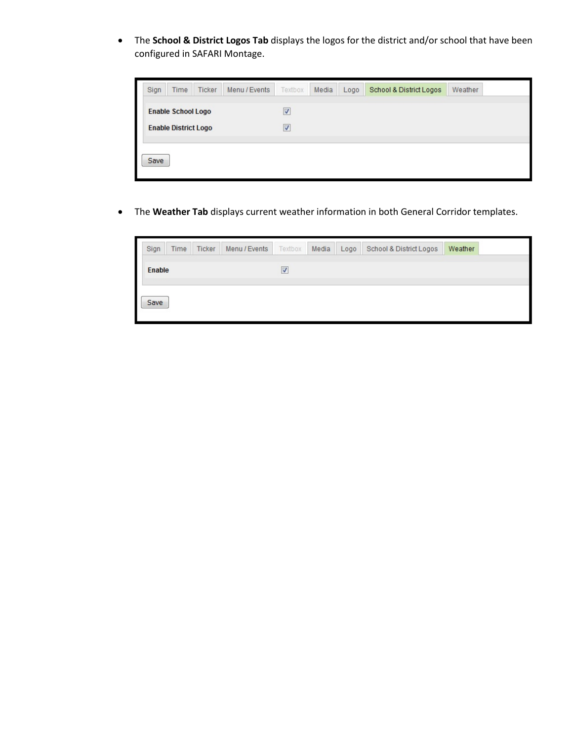• The **School & District Logos Tab** displays the logos for the district and/or school that have been configured in SAFARI Montage.



• The **Weather Tab** displays current weather information in both General Corridor templates.

| <b>Enable</b><br>$\overline{\mathcal{A}}$ | Sign | Time | Ticker | Menu / Events   Textbox   Media   Logo |  | School & District Logos | Weather |  |
|-------------------------------------------|------|------|--------|----------------------------------------|--|-------------------------|---------|--|
|                                           |      |      |        |                                        |  |                         |         |  |
|                                           | Save |      |        |                                        |  |                         |         |  |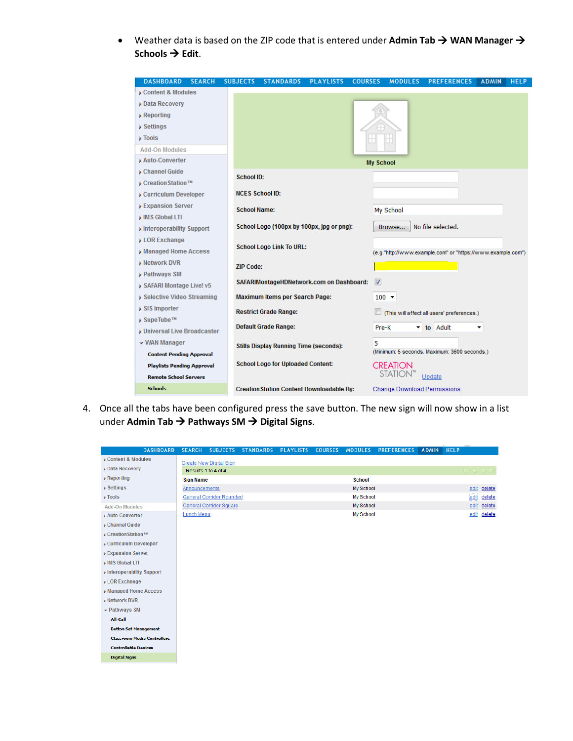• Weather data is based on the ZIP code that is entered under Admin Tab  $\rightarrow$  WAN Manager  $\rightarrow$ **Schools → Edit.** 

| <b>DASHBOARD</b><br><b>SEARCH</b> | <b>SUBJECTS</b>     | <b>STANDARDS</b>                                 | <b>PLAYLISTS</b> | <b>COURSES</b> | <b>MODULES</b>                     | <b>PREFERENCES</b>                                          | <b>ADMIN</b> | <b>HELP</b> |
|-----------------------------------|---------------------|--------------------------------------------------|------------------|----------------|------------------------------------|-------------------------------------------------------------|--------------|-------------|
| Content & Modules                 |                     |                                                  |                  |                |                                    |                                                             |              |             |
| <b>Data Recovery</b>              |                     |                                                  |                  |                |                                    |                                                             |              |             |
| $\triangleright$ Reporting        |                     |                                                  |                  |                |                                    |                                                             |              |             |
| $\triangleright$ Settings         |                     |                                                  |                  |                |                                    |                                                             |              |             |
| $\triangleright$ Tools            |                     |                                                  |                  |                |                                    |                                                             |              |             |
| <b>Add-On Modules</b>             |                     |                                                  |                  |                |                                    |                                                             |              |             |
| Auto-Converter                    |                     |                                                  |                  |                | <b>My School</b>                   |                                                             |              |             |
| Channel Guide                     | <b>School ID:</b>   |                                                  |                  |                |                                    |                                                             |              |             |
| ▶ Creation Station™               |                     |                                                  |                  |                |                                    |                                                             |              |             |
| Curriculum Developer              |                     | <b>NCES School ID:</b>                           |                  |                |                                    |                                                             |              |             |
| <b>Expansion Server</b>           | <b>School Name:</b> |                                                  |                  |                | My School                          |                                                             |              |             |
| IMS Global LTI                    |                     |                                                  |                  |                |                                    |                                                             |              |             |
| Interoperability Support          |                     | School Logo (100px by 100px, jpg or png):        |                  |                | Browse                             | No file selected.                                           |              |             |
| <b>LOR Exchange</b>               |                     | <b>School Logo Link To URL:</b>                  |                  |                |                                    |                                                             |              |             |
| Managed Home Access               |                     |                                                  |                  |                |                                    | (e.g."http://www.example.com" or "https://www.example.com") |              |             |
| <b>Network DVR</b>                | <b>ZIP Code:</b>    |                                                  |                  |                |                                    |                                                             |              |             |
| <b>Pathways SM</b>                |                     |                                                  |                  |                |                                    |                                                             |              |             |
| SAFARI Montage Live! v5           |                     | SAFARIMontageHDNetwork.com on Dashboard:         |                  |                | $\triangledown$                    |                                                             |              |             |
| ▶ Selective Video Streaming       |                     | <b>Maximum Items per Search Page:</b>            |                  |                | $100 -$                            |                                                             |              |             |
| SIS Importer                      |                     | <b>Restrict Grade Range:</b>                     |                  |                |                                    | (This will affect all users' preferences.)                  |              |             |
| ▶ SupeTube™                       |                     | <b>Default Grade Range:</b>                      |                  |                |                                    |                                                             |              |             |
| <b>Universal Live Broadcaster</b> |                     |                                                  |                  |                | Pre-K<br>▼.                        | to Adult                                                    | ▼            |             |
| - WAN Manager                     |                     | <b>Stills Display Running Time (seconds):</b>    |                  |                | 5                                  |                                                             |              |             |
| <b>Content Pending Approval</b>   |                     |                                                  |                  |                |                                    | (Minimum: 5 seconds. Maximum: 3600 seconds.)                |              |             |
| <b>Playlists Pending Approval</b> |                     | <b>School Logo for Uploaded Content:</b>         |                  |                | <b>CREATION</b>                    |                                                             |              |             |
| <b>Remote School Servers</b>      |                     |                                                  |                  |                | STATIO                             | Update                                                      |              |             |
| <b>Schools</b>                    |                     | <b>Creation Station Content Downloadable By:</b> |                  |                | <b>Change Download Permissions</b> |                                                             |              |             |

4. Once all the tabs have been configured press the save button. The new sign will now show in a list under **Admin Tab Pathways SM Digital Signs**.

| <b>DASHBOARD</b>                   | <b>SEARCH</b>                   | <b>SUBJECTS</b>                | <b>STANDARDS</b> | <b>PLAYLISTS</b> | <b>COURSES</b> | <b>MODULES</b> | <b>PREFERENCES</b> | <b>ADMIN</b> | <b>HELP</b> |                                         |             |
|------------------------------------|---------------------------------|--------------------------------|------------------|------------------|----------------|----------------|--------------------|--------------|-------------|-----------------------------------------|-------------|
| Content & Modules                  |                                 | <b>Create New Digital Sign</b> |                  |                  |                |                |                    |              |             |                                         |             |
| <b>Data Recovery</b>               | Results 1 to 4 of 4             |                                |                  |                  |                |                |                    |              |             | $\mathbb{R} \diamond \diamond \diamond$ |             |
| $\triangleright$ Reporting         | <b>Sign Name</b>                |                                |                  |                  | <b>School</b>  |                |                    |              |             |                                         |             |
| $\triangleright$ Settings          | Announcements                   |                                |                  |                  | My School      |                |                    |              |             | edit                                    | delete      |
| $\triangleright$ Tools             | <b>General Corridor Rounded</b> |                                |                  |                  | My School      |                |                    |              |             | edit                                    | delete      |
| <b>Add-On Modules</b>              | <b>General Corridor Square</b>  |                                |                  |                  | My School      |                |                    |              |             |                                         | edit delete |
| Auto-Converter                     | Lunch Menu                      |                                |                  |                  |                | My School      |                    |              |             | edit                                    | delete      |
| Channel Guide                      |                                 |                                |                  |                  |                |                |                    |              |             |                                         |             |
| Creation Station™                  |                                 |                                |                  |                  |                |                |                    |              |             |                                         |             |
| Curriculum Developer               |                                 |                                |                  |                  |                |                |                    |              |             |                                         |             |
| <b>Expansion Server</b>            |                                 |                                |                  |                  |                |                |                    |              |             |                                         |             |
| IMS Global LTI                     |                                 |                                |                  |                  |                |                |                    |              |             |                                         |             |
| Interoperability Support           |                                 |                                |                  |                  |                |                |                    |              |             |                                         |             |
| LOR Exchange                       |                                 |                                |                  |                  |                |                |                    |              |             |                                         |             |
| Managed Home Access                |                                 |                                |                  |                  |                |                |                    |              |             |                                         |             |
| <b>Network DVR</b>                 |                                 |                                |                  |                  |                |                |                    |              |             |                                         |             |
| Pathways SM                        |                                 |                                |                  |                  |                |                |                    |              |             |                                         |             |
| All-Call                           |                                 |                                |                  |                  |                |                |                    |              |             |                                         |             |
| <b>Button Set Management</b>       |                                 |                                |                  |                  |                |                |                    |              |             |                                         |             |
| <b>Classroom Media Controllers</b> |                                 |                                |                  |                  |                |                |                    |              |             |                                         |             |
| <b>Controllable Devices</b>        |                                 |                                |                  |                  |                |                |                    |              |             |                                         |             |
| <b>Digital Signs</b>               |                                 |                                |                  |                  |                |                |                    |              |             |                                         |             |